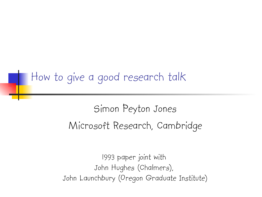#### How to give a good research talk

## Simon Peyton Jones Microsoft Research, Cambridge

1993 paper joint with John Hughes (Chalmers), John Launchbury (Oregon Graduate Institute)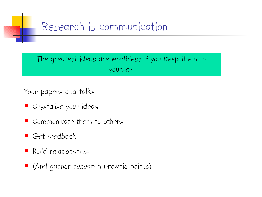## Research is communication

The greatest ideas are worthless if you keep them to yourself

Your papers and talks

- Crystalise your ideas
- Communicate them to others
- Get feedback
- **Build relationships**
- (And garner research brownie points)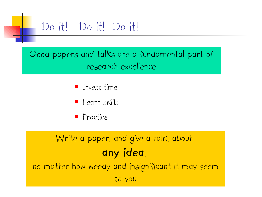

Good papers and talks are a fundamental part of research excellence

- $\blacksquare$  Invest time
- **Learn skills**
- **Practice**

## Write a paper, and give a talk, about **any idea**, no matter how weedy and insignificant it may seem

to you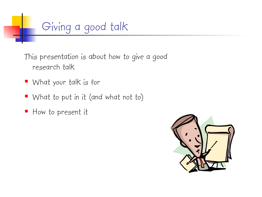

This presentation is about how to give a good research talk

- What your talk is for
- What to put in it (and what not to)
- How to present it

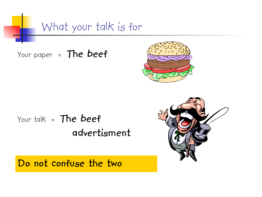What your talk is for

Your paper = **The beef**



## Your talk = **The beef advertisment**

**Do not confuse the two**

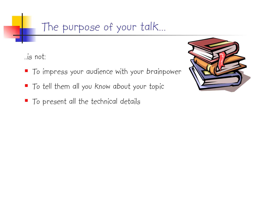#### The purpose of your talk…

..is not:

- $\blacksquare$  To impress your audience with your brainpower
- To tell them all you know about your topic
- $\blacksquare$  To present all the technical details

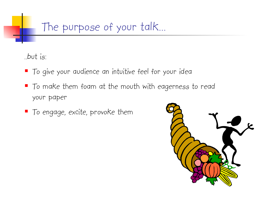### The purpose of your talk…

..but is:

- **To give your audience an intuitive feel for your idea**
- To make them foam at the mouth with eagerness to read your paper
- To engage, excite, provoke them

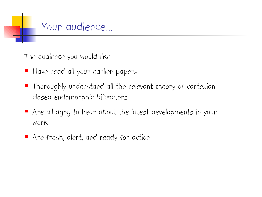Your audience…

The audience you would like

- Have read all your earlier papers
- Thoroughly understand all the relevant theory of cartesian closed endomorphic bifunctors
- Are all agog to hear about the latest developments in your work
- Are fresh, alert, and ready for action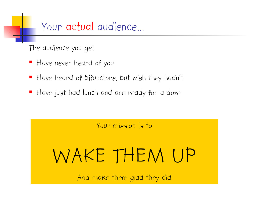Your actual audience…

The audience you get

- Have never heard of you
- Have heard of bifunctors, but wish they hadn't
- Have just had lunch and are ready for a doze

Your mission is to

# WAKE THEM UP

And make them glad they did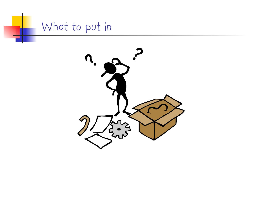

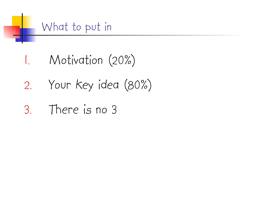

- 1. Motivation (20%)
- 2. Your key idea (80%)
- 3. There is no 3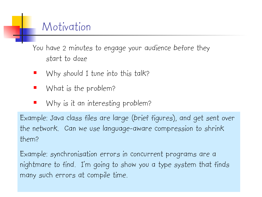#### Motivation

You have 2 minutes to engage your audience before they start to doze

- Why should I tune into this talk?
- What is the problem?
- Why is it an interesting problem?

Example: Java class files are large (brief figures), and get sent over the network. Can we use language-aware compression to shrink them?

Example: synchronisation errors in concurrent programs are a nightmare to find. I'm going to show you a type system that finds many such errors at compile time.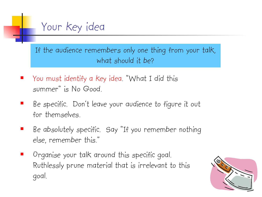

If the audience remembers only one thing from your talk, what should it be?

- You must identify a key idea. "What I did this summer" is No Good.
- Be specific. Don't leave your audience to figure it out for themselves.
- Be absolutely specific. Say "If you remember nothing else, remember this."
- Organise your talk around this specific goal. Ruthlessly prune material that is irrelevant to this goal.

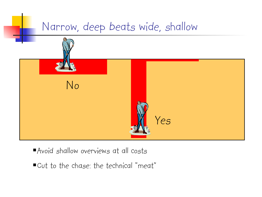

- Avoid shallow overviews at all costs
- Cut to the chase: the technical "meat"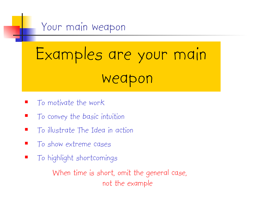

# Examples are your main weapon

- To motivate the work
- To convey the basic intuition
- $\blacksquare$  To illustrate The Idea in action
- **T** To show extreme cases
- To highlight shortcomings

When time is short, omit the general case, not the example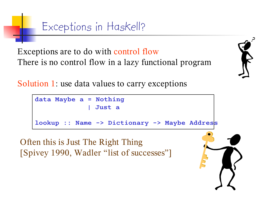Exceptions in Haskell?

Exceptions are to do with control flow There is no control flow in a lazy functional program

Solution 1: use data values to carry exceptions

```
data Maybe a = Nothing
               | Just a
lookup :: Name -> Dictionary -> Maybe Address
```
Often this is Just The Right Thing [Spivey 1990, Wadler "list of successes"]

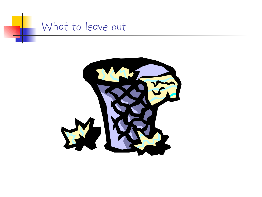

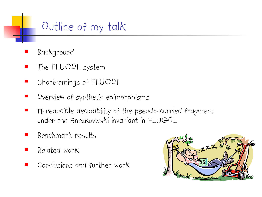## Outline of my talk

- Background
- **The FLUGOL system**
- **Shortcomings of FLUGOL**
- **•** Overview of synthetic epimorphisms
- $\blacksquare$   $\pi$ -reducible decidability of the pseudo-curried fragment under the Snezkovwski invariant in FLUGOL
- Benchmark results
- Related work
- Conclusions and further work

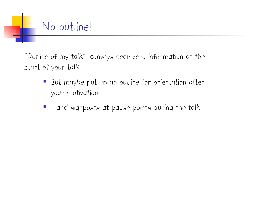## No outline!

"Outline of my talk": conveys near zero information at the start of your talk

- But maybe put up an outline for orientation after your motivation
- …and signposts at pause points during the talk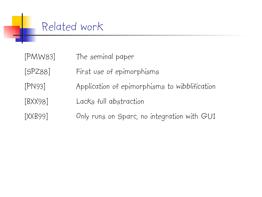#### Related work

- [PMW83] The seminal paper
- [SPZ88] First use of epimorphisms
- [PN93] Application of epimorphisms to wibblification
- [BXX98] Lacks full abstraction
- [XXB99] Only runs on Sparc, no integration with GUI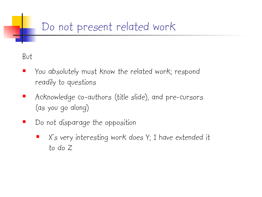## Do not present related work

#### But

- You absolutely must know the related work; respond readily to questions
- Acknowledge co-authors (title slide), and pre-cursors (as you go along)
- Do not disparage the opposition
	- X's very interesting work does Y; I have extended it to do Z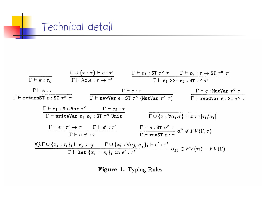

$$
\frac{\Gamma \cup \{x : \tau\} \vdash e : \tau'}{\Gamma \vdash k : \tau_k} \qquad \frac{\Gamma \cup \{x : \tau\} \vdash e : \tau'}{\Gamma \vdash \lambda x.e : \tau \to \tau'} \qquad \frac{\Gamma \vdash e_1 : \text{ST } \tau \circ \tau \qquad \Gamma \vdash e_2 : \tau \to \text{ST } \tau \circ \tau'}{\Gamma \vdash e_1 \rightarrow \text{Per} \cdot e_2 : \text{ST } \tau \circ \tau'}
$$
\n
$$
\frac{\Gamma \vdash e : \tau}{\Gamma \vdash \text{returnsST } e : \text{ST } \tau \circ \tau} \qquad \frac{\Gamma \vdash e : \tau}{\Gamma \vdash \text{newVar } e : \text{ST } \tau \circ (\text{MutVar } \tau \circ \tau)} \qquad \frac{\Gamma \vdash e : \text{MutVar } \tau \circ \tau}{\Gamma \vdash \text{readVar } e : \text{ST } \tau \circ \tau}
$$
\n
$$
\frac{\Gamma \vdash e_1 : \text{MutVar } \tau \circ \tau \qquad \Gamma \vdash e_2 : \tau}{\Gamma \vdash \text{writeVar } e_1 e_2 : \text{ST } \tau \circ \text{Unit}} \qquad \frac{\Gamma \vdash e : \text{ST } \alpha \circ \tau}{\Gamma \cup \{x : \forall \alpha_i \cdot \tau\} \vdash x : \tau[\tau_i/\alpha_i]}
$$
\n
$$
\frac{\Gamma \vdash e : \tau' \to \tau \qquad \Gamma \vdash e' : \tau'}{\Gamma \vdash e e' : \tau} \qquad \frac{\Gamma \vdash e : \text{ST } \alpha \circ \tau}{\Gamma \vdash \text{runsT } e : \tau} \alpha \circ \notin FV(\Gamma, \tau)
$$
\n
$$
\frac{\forall j. \Gamma \cup \{x_i : \tau_i\}_i \vdash e_j : \tau_j \qquad \Gamma \cup \{x_i : \forall \alpha_{j_i} \cdot \tau_i\}_i \vdash e' : \tau'}{\Gamma \vdash \text{let } \{x_i = e_i\}_i \text{ in } e' : \tau'} \qquad \alpha_{j_i} \in FV(\tau_i) - FV(\Gamma)
$$

Figure 1. Typing Rules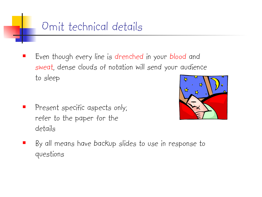

 Even though every line is drenched in your blood and sweat, dense clouds of notation will send your audience to sleep

 Present specific aspects only; refer to the paper for the details



 By all means have backup slides to use in response to questions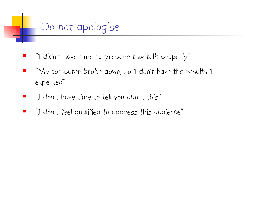

- "I didn't have time to prepare this talk properly"
- "My computer broke down, so I don't have the results I expected"
- **I** "I don't have time to tell you about this"
- "I don't feel qualified to address this audience"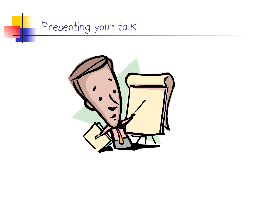

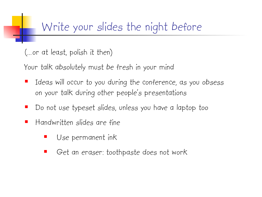(…or at least, polish it then)

Your talk absolutely must be fresh in your mind

- Ideas will occur to you during the conference, as you obsess on your talk during other people's presentations
- Do not use typeset slides, unless you have a laptop too
- Handwritten slides are fine
	- Use permanent ink
	- Get an eraser: toothpaste does not work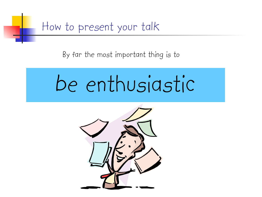![](_page_26_Picture_0.jpeg)

By far the most important thing is to

# be enthusiastic

![](_page_26_Picture_3.jpeg)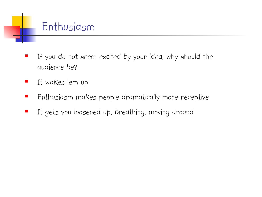![](_page_27_Picture_0.jpeg)

- If you do not seem excited by your idea, why should the audience be?
- **I** It wakes 'em up
- **Enthusiasm makes people dramatically more receptive**
- **If gets you loosened up, breathing, moving around**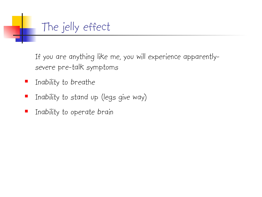![](_page_28_Picture_0.jpeg)

If you are anything like me, you will experience apparentlysevere pre-talk symptoms

- **Inability to breathe**
- **I** Inability to stand up (legs give way)
- $\blacksquare$  Inability to operate brain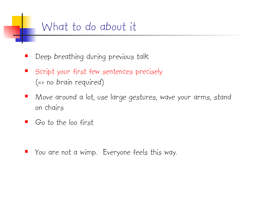#### What to do about it

- Deep breathing during previous talk
- Script your first few sentences precisely (=> no brain required)
- Move around a lot, use large gestures, wave your arms, stand on chairs
- Go to the loo first

You are not a wimp. Everyone feels this way.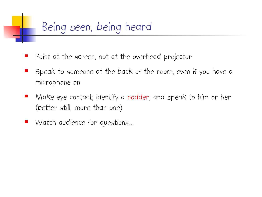## Being seen, being heard

- Point at the screen, not at the overhead projector
- Speak to someone at the back of the room, even if you have a microphone on
- **•** Make eye contact; identify a nodder, and speak to him or her (better still, more than one)
- Watch audience for questions…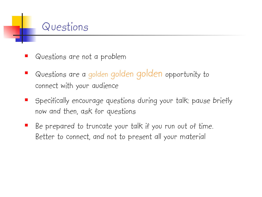![](_page_31_Picture_0.jpeg)

- Questions are not a problem
- Questions are a golden golden golden opportunity to connect with your audience
- Specifically encourage questions during your talk: pause briefly now and then, ask for questions
- Be prepared to truncate your talk if you run out of time. Better to connect, and not to present all your material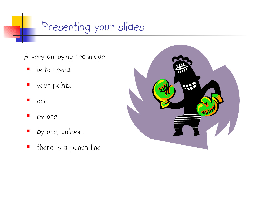## Presenting your slides

- A very annoying technique
	- is to reveal
	- your points
	- one
	- by one
	- by one, unless…
	- **there** is a punch line

![](_page_32_Picture_8.jpeg)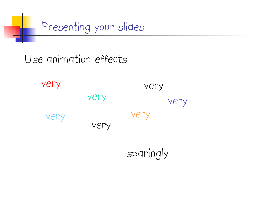![](_page_33_Picture_0.jpeg)

Use animation effects

very very very very very very very

sparingly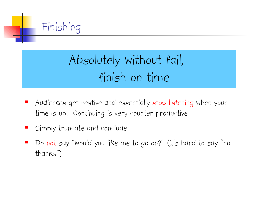![](_page_34_Picture_0.jpeg)

## Absolutely without fail, finish on time

- Audiences get restive and essentially stop listening when your time is up. Continuing is very counter productive
- Simply truncate and conclude
- Do not say "would you like me to go on?" (it's hard to say "no thanks")